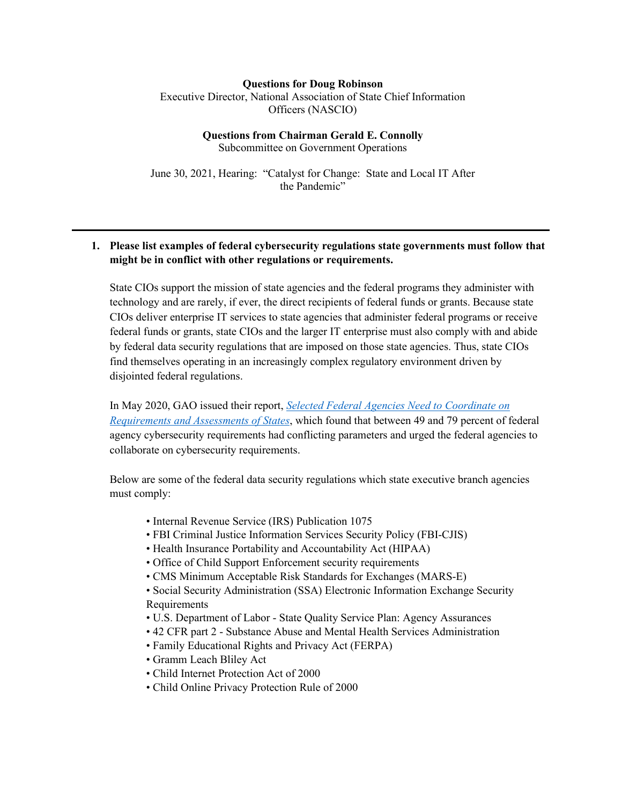#### **Questions for Doug Robinson**

Executive Director, National Association of State Chief Information Officers (NASCIO)

### **Questions from Chairman Gerald E. Connolly**

Subcommittee on Government Operations

June 30, 2021, Hearing: "Catalyst for Change: State and Local IT After the Pandemic"

## **1. Please list examples of federal cybersecurity regulations state governments must follow that might be in conflict with other regulations or requirements.**

State CIOs support the mission of state agencies and the federal programs they administer with technology and are rarely, if ever, the direct recipients of federal funds or grants. Because state CIOs deliver enterprise IT services to state agencies that administer federal programs or receive federal funds or grants, state CIOs and the larger IT enterprise must also comply with and abide by federal data security regulations that are imposed on those state agencies. Thus, state CIOs find themselves operating in an increasingly complex regulatory environment driven by disjointed federal regulations.

In May 2020, GAO issued their report, *[Selected Federal Agencies Need to Coordinate on](https://www.gao.gov/products/GAO-20-123?mobile_opt_out=1#summary_recommend)  [Requirements and Assessments of States](https://www.gao.gov/products/GAO-20-123?mobile_opt_out=1#summary_recommend)*, which found that between 49 and 79 percent of federal agency cybersecurity requirements had conflicting parameters and urged the federal agencies to collaborate on cybersecurity requirements.

Below are some of the federal data security regulations which state executive branch agencies must comply:

- Internal Revenue Service (IRS) Publication 1075
- FBI Criminal Justice Information Services Security Policy (FBI-CJIS)
- Health Insurance Portability and Accountability Act (HIPAA)
- Office of Child Support Enforcement security requirements
- CMS Minimum Acceptable Risk Standards for Exchanges (MARS-E)
- Social Security Administration (SSA) Electronic Information Exchange Security Requirements
- U.S. Department of Labor State Quality Service Plan: Agency Assurances
- 42 CFR part 2 Substance Abuse and Mental Health Services Administration
- Family Educational Rights and Privacy Act (FERPA)
- Gramm Leach Bliley Act
- Child Internet Protection Act of 2000
- Child Online Privacy Protection Rule of 2000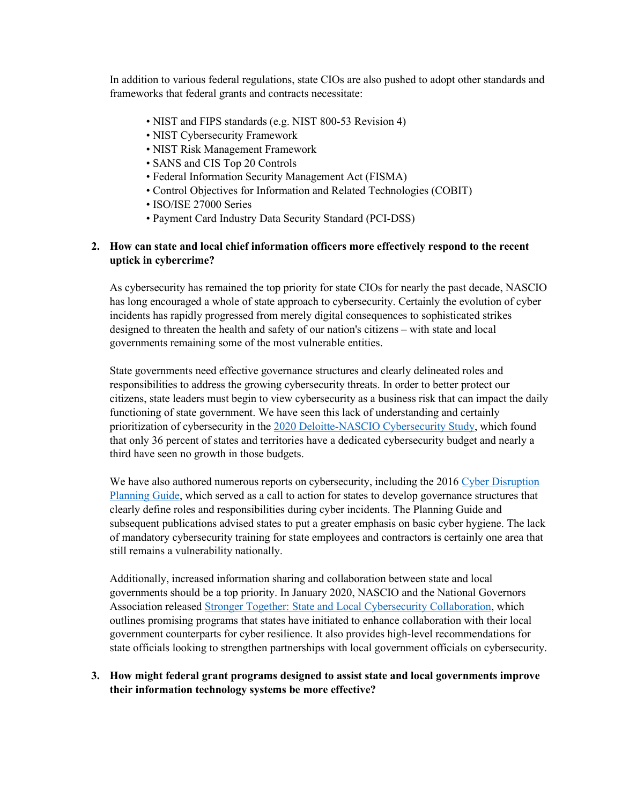In addition to various federal regulations, state CIOs are also pushed to adopt other standards and frameworks that federal grants and contracts necessitate:

- NIST and FIPS standards (e.g. NIST 800-53 Revision 4)
- NIST Cybersecurity Framework
- NIST Risk Management Framework
- SANS and CIS Top 20 Controls
- Federal Information Security Management Act (FISMA)
- Control Objectives for Information and Related Technologies (COBIT)
- ISO/ISE 27000 Series
- Payment Card Industry Data Security Standard (PCI-DSS)

# **2. How can state and local chief information officers more effectively respond to the recent uptick in cybercrime?**

As cybersecurity has remained the top priority for state CIOs for nearly the past decade, NASCIO has long encouraged a whole of state approach to cybersecurity. Certainly the evolution of cyber incidents has rapidly progressed from merely digital consequences to sophisticated strikes designed to threaten the health and safety of our nation's citizens – with state and local governments remaining some of the most vulnerable entities.

State governments need effective governance structures and clearly delineated roles and responsibilities to address the growing cybersecurity threats. In order to better protect our citizens, state leaders must begin to view cybersecurity as a business risk that can impact the daily functioning of state government. We have seen this lack of understanding and certainly prioritization of cybersecurity in the [2020 Deloitte-NASCIO Cybersecurity Study,](https://www.nascio.org/wp-content/uploads/2020/10/2020-Deloitte-NASCIO-Cybersecurity-Study-1.pdf) which found that only 36 percent of states and territories have a dedicated cybersecurity budget and nearly a third have seen no growth in those budgets.

We have also authored numerous reports on cybersecurity, including the 2016 Cyber Disruption [Planning Guide,](https://www.nascio.org/wp-content/uploads/2019/11/NASCIO_CyberDisruption_072016.pdf) which served as a call to action for states to develop governance structures that clearly define roles and responsibilities during cyber incidents. The Planning Guide and subsequent publications advised states to put a greater emphasis on basic cyber hygiene. The lack of mandatory cybersecurity training for state employees and contractors is certainly one area that still remains a vulnerability nationally.

Additionally, increased information sharing and collaboration between state and local governments should be a top priority. In January 2020, NASCIO and the National Governors Association released [Stronger Together: State and Local Cybersecurity Collaboration,](https://www.nascio.org/wp-content/uploads/2020/01/NASCIO_NGA_StateLocalCollaboration.pdf) which outlines promising programs that states have initiated to enhance collaboration with their local government counterparts for cyber resilience. It also provides high-level recommendations for state officials looking to strengthen partnerships with local government officials on cybersecurity.

# **3. How might federal grant programs designed to assist state and local governments improve their information technology systems be more effective?**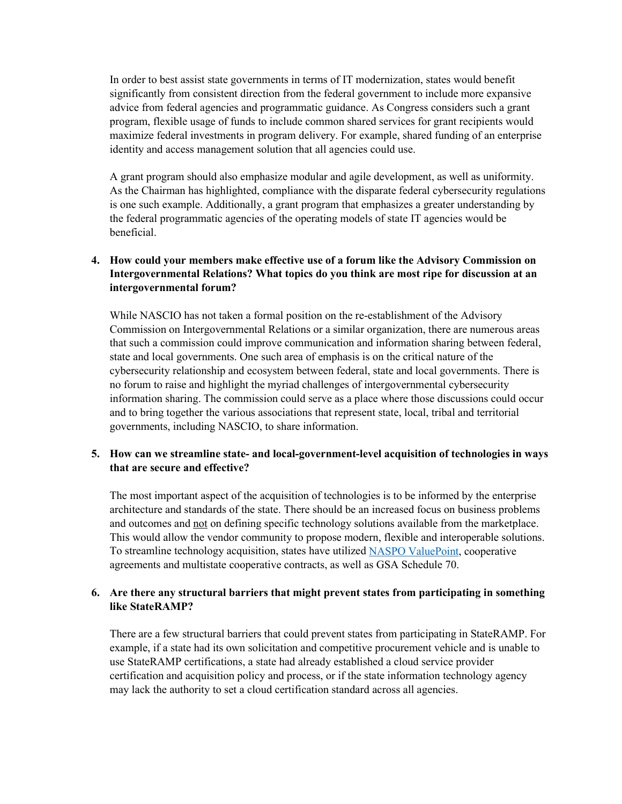In order to best assist state governments in terms of IT modernization, states would benefit significantly from consistent direction from the federal government to include more expansive advice from federal agencies and programmatic guidance. As Congress considers such a grant program, flexible usage of funds to include common shared services for grant recipients would maximize federal investments in program delivery. For example, shared funding of an enterprise identity and access management solution that all agencies could use.

A grant program should also emphasize modular and agile development, as well as uniformity. As the Chairman has highlighted, compliance with the disparate federal cybersecurity regulations is one such example. Additionally, a grant program that emphasizes a greater understanding by the federal programmatic agencies of the operating models of state IT agencies would be beneficial.

# **4. How could your members make effective use of a forum like the Advisory Commission on Intergovernmental Relations? What topics do you think are most ripe for discussion at an intergovernmental forum?**

While NASCIO has not taken a formal position on the re-establishment of the Advisory Commission on Intergovernmental Relations or a similar organization, there are numerous areas that such a commission could improve communication and information sharing between federal, state and local governments. One such area of emphasis is on the critical nature of the cybersecurity relationship and ecosystem between federal, state and local governments. There is no forum to raise and highlight the myriad challenges of intergovernmental cybersecurity information sharing. The commission could serve as a place where those discussions could occur and to bring together the various associations that represent state, local, tribal and territorial governments, including NASCIO, to share information.

## **5. How can we streamline state- and local-government-level acquisition of technologies in ways that are secure and effective?**

The most important aspect of the acquisition of technologies is to be informed by the enterprise architecture and standards of the state. There should be an increased focus on business problems and outcomes and not on defining specific technology solutions available from the marketplace. This would allow the vendor community to propose modern, flexible and interoperable solutions. To streamline technology acquisition, states have utilized [NASPO ValuePoint,](https://naspovaluepoint.org/) cooperative agreements and multistate cooperative contracts, as well as GSA Schedule 70.

## **6. Are there any structural barriers that might prevent states from participating in something like StateRAMP?**

There are a few structural barriers that could prevent states from participating in StateRAMP. For example, if a state had its own solicitation and competitive procurement vehicle and is unable to use StateRAMP certifications, a state had already established a cloud service provider certification and acquisition policy and process, or if the state information technology agency may lack the authority to set a cloud certification standard across all agencies.